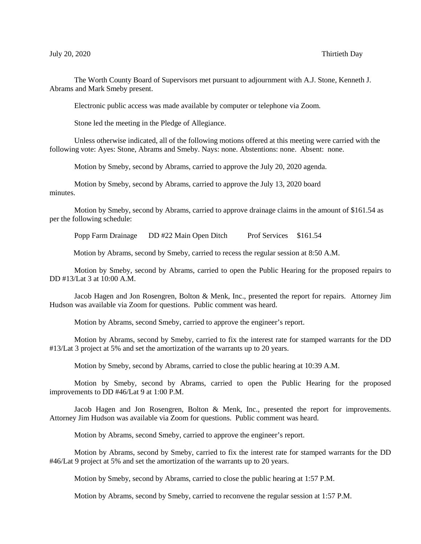## July 20, 2020 Thirtieth Day

The Worth County Board of Supervisors met pursuant to adjournment with A.J. Stone, Kenneth J. Abrams and Mark Smeby present.

Electronic public access was made available by computer or telephone via Zoom.

Stone led the meeting in the Pledge of Allegiance.

Unless otherwise indicated, all of the following motions offered at this meeting were carried with the following vote: Ayes: Stone, Abrams and Smeby. Nays: none. Abstentions: none. Absent: none.

Motion by Smeby, second by Abrams, carried to approve the July 20, 2020 agenda.

Motion by Smeby, second by Abrams, carried to approve the July 13, 2020 board minutes.

Motion by Smeby, second by Abrams, carried to approve drainage claims in the amount of \$161.54 as per the following schedule:

Popp Farm Drainage DD #22 Main Open Ditch Prof Services \$161.54

Motion by Abrams, second by Smeby, carried to recess the regular session at 8:50 A.M.

Motion by Smeby, second by Abrams, carried to open the Public Hearing for the proposed repairs to DD #13/Lat 3 at 10:00 A.M.

Jacob Hagen and Jon Rosengren, Bolton & Menk, Inc., presented the report for repairs. Attorney Jim Hudson was available via Zoom for questions. Public comment was heard.

Motion by Abrams, second Smeby, carried to approve the engineer's report.

Motion by Abrams, second by Smeby, carried to fix the interest rate for stamped warrants for the DD #13/Lat 3 project at 5% and set the amortization of the warrants up to 20 years.

Motion by Smeby, second by Abrams, carried to close the public hearing at 10:39 A.M.

Motion by Smeby, second by Abrams, carried to open the Public Hearing for the proposed improvements to DD #46/Lat 9 at 1:00 P.M.

Jacob Hagen and Jon Rosengren, Bolton & Menk, Inc., presented the report for improvements. Attorney Jim Hudson was available via Zoom for questions. Public comment was heard.

Motion by Abrams, second Smeby, carried to approve the engineer's report.

Motion by Abrams, second by Smeby, carried to fix the interest rate for stamped warrants for the DD #46/Lat 9 project at 5% and set the amortization of the warrants up to 20 years.

Motion by Smeby, second by Abrams, carried to close the public hearing at 1:57 P.M.

Motion by Abrams, second by Smeby, carried to reconvene the regular session at 1:57 P.M.